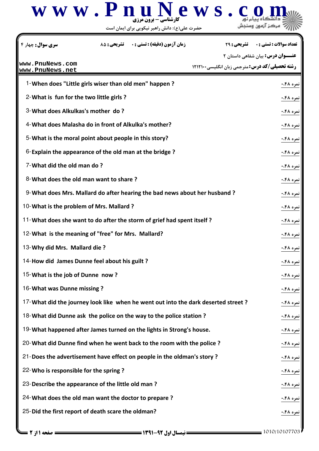

حضرت علي(ع): دانش راهبر نيكويي براي ايمان است

| <b>زمان آزمون (دقیقه) : تستی : . ۔ تشریحی : 85</b><br>سری سوال : چهار ۴            |                                                        | <b>تعداد سوالات : تستي : . _ _ تشريحي : 29</b> |
|------------------------------------------------------------------------------------|--------------------------------------------------------|------------------------------------------------|
|                                                                                    |                                                        | <b>عنـــوان درس:</b> بیان شفاهی داستان ۲       |
| www.PnuNews.com<br>www.PnuNews.net                                                 | <b>رشته تحصیلی/کد درس:</b> مترجمی زبان انگلیسی ۱۲۱۲۱۰۰ |                                                |
| 1-When does "Little girls wiser than old men" happen?                              |                                                        | نمره ۴۸۰.                                      |
| 2- What is fun for the two little girls?                                           |                                                        | نمره ۴۸۰.                                      |
| 3-What does Alkulkas's mother do?                                                  |                                                        | نمره ۴۸.۰                                      |
| 4-What does Malasha do in front of Alkulka's mother?                               |                                                        | نمره ۴۸.۰                                      |
| 5-What is the moral point about people in this story?                              |                                                        | نمره ۴۸۰.                                      |
| 6-Explain the appearance of the old man at the bridge?                             |                                                        | نمره ۴۸۰.                                      |
| 7-What did the old man do?                                                         |                                                        | نمره ۴۸.۰                                      |
| 8-What does the old man want to share?                                             |                                                        | <u>نمره ۴۸۰.</u>                               |
| 9-What does Mrs. Mallard do after hearing the bad news about her husband ?         |                                                        | نمره ۴۸.۰                                      |
| 10-What is the problem of Mrs. Mallard?                                            |                                                        | نمره ۴۸.۰                                      |
| <sup>11</sup> -What does she want to do after the storm of grief had spent itself? |                                                        | نمره ۴۸۰.                                      |
| 12-What is the meaning of "free" for Mrs. Mallard?                                 |                                                        | نمره ۴۸.۰                                      |
| 13-Why did Mrs. Mallard die?                                                       |                                                        | نمره ۴۸.۰                                      |
| 14-How did James Dunne feel about his guilt?                                       |                                                        | نمره ۴۸.۰                                      |
| 15-What is the job of Dunne now?                                                   |                                                        | ا نمره ۴۸.۰                                    |
| 16-What was Dunne missing?                                                         |                                                        | نمره ۴۸.۰                                      |
| 17-What did the journey look like when he went out into the dark deserted street?  |                                                        | نمره ۴۸.۰                                      |
| 18-What did Dunne ask the police on the way to the police station?                 |                                                        | نمره ۴۸.۰                                      |
| 19-What happened after James turned on the lights in Strong's house.               |                                                        | نمره ۴۸.۰                                      |
| 20-What did Dunne find when he went back to the room with the police?              |                                                        | نمره ۴۸.۰                                      |
| 21-Does the advertisement have effect on people in the oldman's story?             |                                                        | <b>نمره ۴۸.۰</b>                               |
| 22-Who is responsible for the spring?                                              |                                                        | نمره ۴۸.۰                                      |
| 23-Describe the appearance of the little old man?                                  |                                                        | نمره ۴۸.۰                                      |
| 24-What does the old man want the doctor to prepare?                               |                                                        | نمره ۴۸.۰                                      |
| 25-Did the first report of death scare the oldman?                                 |                                                        | نمره ۴۸۰.                                      |
|                                                                                    |                                                        |                                                |